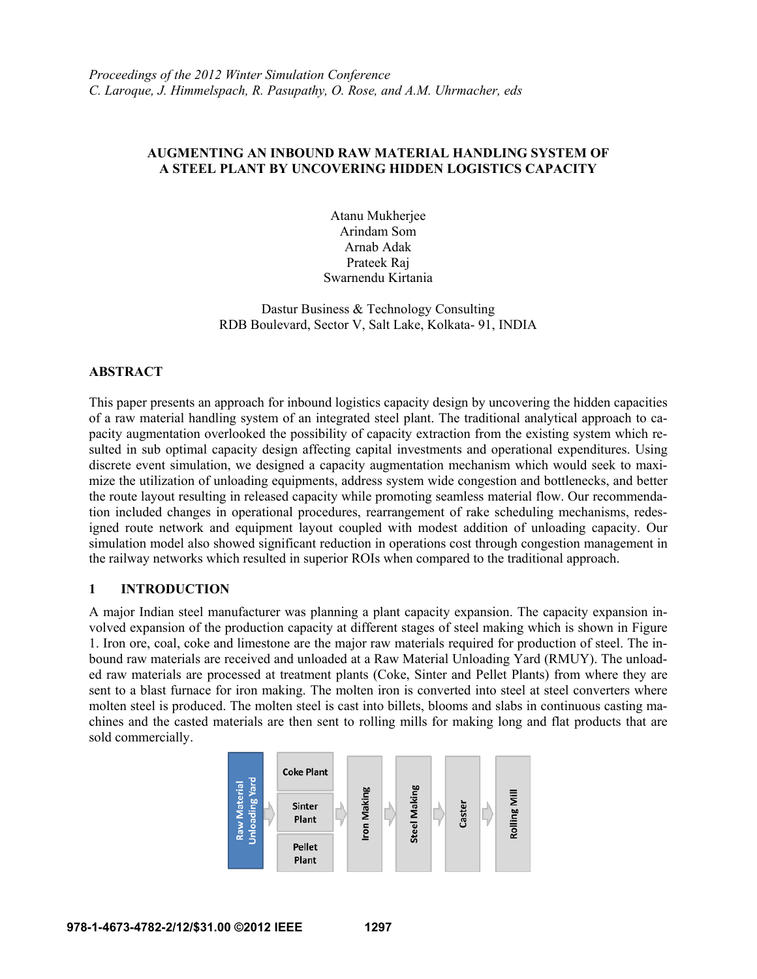# **AUGMENTING AN INBOUND RAW MATERIAL HANDLING SYSTEM OF A STEEL PLANT BY UNCOVERING HIDDEN LOGISTICS CAPACITY**

Atanu Mukherjee Arindam Som Arnab Adak Prateek Raj Swarnendu Kirtania

Dastur Business & Technology Consulting RDB Boulevard, Sector V, Salt Lake, Kolkata- 91, INDIA

#### **ABSTRACT**

This paper presents an approach for inbound logistics capacity design by uncovering the hidden capacities of a raw material handling system of an integrated steel plant. The traditional analytical approach to capacity augmentation overlooked the possibility of capacity extraction from the existing system which resulted in sub optimal capacity design affecting capital investments and operational expenditures. Using discrete event simulation, we designed a capacity augmentation mechanism which would seek to maximize the utilization of unloading equipments, address system wide congestion and bottlenecks, and better the route layout resulting in released capacity while promoting seamless material flow. Our recommendation included changes in operational procedures, rearrangement of rake scheduling mechanisms, redesigned route network and equipment layout coupled with modest addition of unloading capacity. Our simulation model also showed significant reduction in operations cost through congestion management in the railway networks which resulted in superior ROIs when compared to the traditional approach.

# **1 INTRODUCTION**

A major Indian steel manufacturer was planning a plant capacity expansion. The capacity expansion involved expansion of the production capacity at different stages of steel making which is shown in Figure 1. Iron ore, coal, coke and limestone are the major raw materials required for production of steel. The inbound raw materials are received and unloaded at a Raw Material Unloading Yard (RMUY). The unloaded raw materials are processed at treatment plants (Coke, Sinter and Pellet Plants) from where they are sent to a blast furnace for iron making. The molten iron is converted into steel at steel converters where molten steel is produced. The molten steel is cast into billets, blooms and slabs in continuous casting machines and the casted materials are then sent to rolling mills for making long and flat products that are sold commercially.

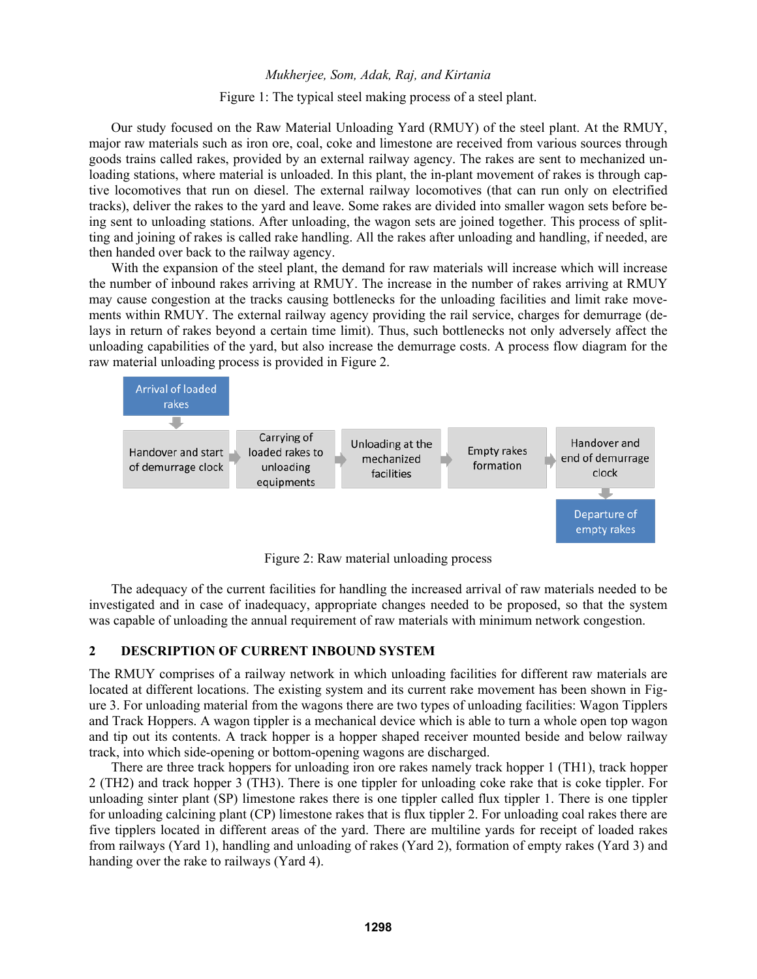Figure 1: The typical steel making process of a steel plant.

Our study focused on the Raw Material Unloading Yard (RMUY) of the steel plant. At the RMUY, major raw materials such as iron ore, coal, coke and limestone are received from various sources through goods trains called rakes, provided by an external railway agency. The rakes are sent to mechanized unloading stations, where material is unloaded. In this plant, the in-plant movement of rakes is through captive locomotives that run on diesel. The external railway locomotives (that can run only on electrified tracks), deliver the rakes to the yard and leave. Some rakes are divided into smaller wagon sets before being sent to unloading stations. After unloading, the wagon sets are joined together. This process of splitting and joining of rakes is called rake handling. All the rakes after unloading and handling, if needed, are then handed over back to the railway agency.

With the expansion of the steel plant, the demand for raw materials will increase which will increase the number of inbound rakes arriving at RMUY. The increase in the number of rakes arriving at RMUY may cause congestion at the tracks causing bottlenecks for the unloading facilities and limit rake movements within RMUY. The external railway agency providing the rail service, charges for demurrage (delays in return of rakes beyond a certain time limit). Thus, such bottlenecks not only adversely affect the unloading capabilities of the yard, but also increase the demurrage costs. A process flow diagram for the raw material unloading process is provided in Figure 2.



Figure 2: Raw material unloading process

The adequacy of the current facilities for handling the increased arrival of raw materials needed to be investigated and in case of inadequacy, appropriate changes needed to be proposed, so that the system was capable of unloading the annual requirement of raw materials with minimum network congestion.

#### **2 DESCRIPTION OF CURRENT INBOUND SYSTEM**

The RMUY comprises of a railway network in which unloading facilities for different raw materials are located at different locations. The existing system and its current rake movement has been shown in Figure 3. For unloading material from the wagons there are two types of unloading facilities: Wagon Tipplers and Track Hoppers. A wagon tippler is a mechanical device which is able to turn a whole open top wagon and tip out its contents. A track hopper is a hopper shaped receiver mounted beside and below railway track, into which side-opening or bottom-opening wagons are discharged.

There are three track hoppers for unloading iron ore rakes namely track hopper 1 (TH1), track hopper 2 (TH2) and track hopper 3 (TH3). There is one tippler for unloading coke rake that is coke tippler. For unloading sinter plant (SP) limestone rakes there is one tippler called flux tippler 1. There is one tippler for unloading calcining plant (CP) limestone rakes that is flux tippler 2. For unloading coal rakes there are five tipplers located in different areas of the yard. There are multiline yards for receipt of loaded rakes from railways (Yard 1), handling and unloading of rakes (Yard 2), formation of empty rakes (Yard 3) and handing over the rake to railways (Yard 4).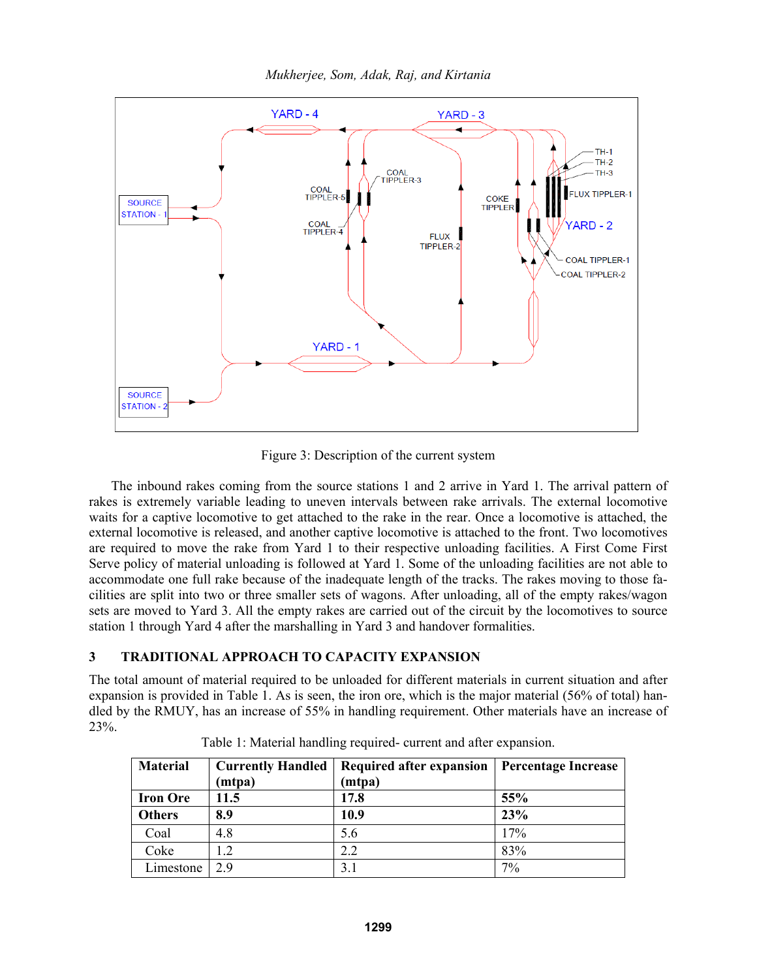

Figure 3: Description of the current system

The inbound rakes coming from the source stations 1 and 2 arrive in Yard 1. The arrival pattern of rakes is extremely variable leading to uneven intervals between rake arrivals. The external locomotive waits for a captive locomotive to get attached to the rake in the rear. Once a locomotive is attached, the external locomotive is released, and another captive locomotive is attached to the front. Two locomotives are required to move the rake from Yard 1 to their respective unloading facilities. A First Come First Serve policy of material unloading is followed at Yard 1. Some of the unloading facilities are not able to accommodate one full rake because of the inadequate length of the tracks. The rakes moving to those facilities are split into two or three smaller sets of wagons. After unloading, all of the empty rakes/wagon sets are moved to Yard 3. All the empty rakes are carried out of the circuit by the locomotives to source station 1 through Yard 4 after the marshalling in Yard 3 and handover formalities.

# **3 TRADITIONAL APPROACH TO CAPACITY EXPANSION**

The total amount of material required to be unloaded for different materials in current situation and after expansion is provided in Table 1. As is seen, the iron ore, which is the major material (56% of total) handled by the RMUY, has an increase of 55% in handling requirement. Other materials have an increase of 23%.

| <b>Material</b> | <b>Currently Handled</b> | Required after expansion | <b>Percentage Increase</b> |
|-----------------|--------------------------|--------------------------|----------------------------|
|                 | (mtpa)                   | (mtpa)                   |                            |
| <b>Iron Ore</b> | 11.5                     | 17.8                     | 55%                        |
| <b>Others</b>   | 8.9                      | 10.9                     | 23%                        |
| Coal            | 4.8                      | 5.6                      | 17%                        |
| Coke            | l .2                     | 2.2                      | 83%                        |
| Limestone       | 2.9                      | 3.1                      | 7%                         |

Table 1: Material handling required- current and after expansion.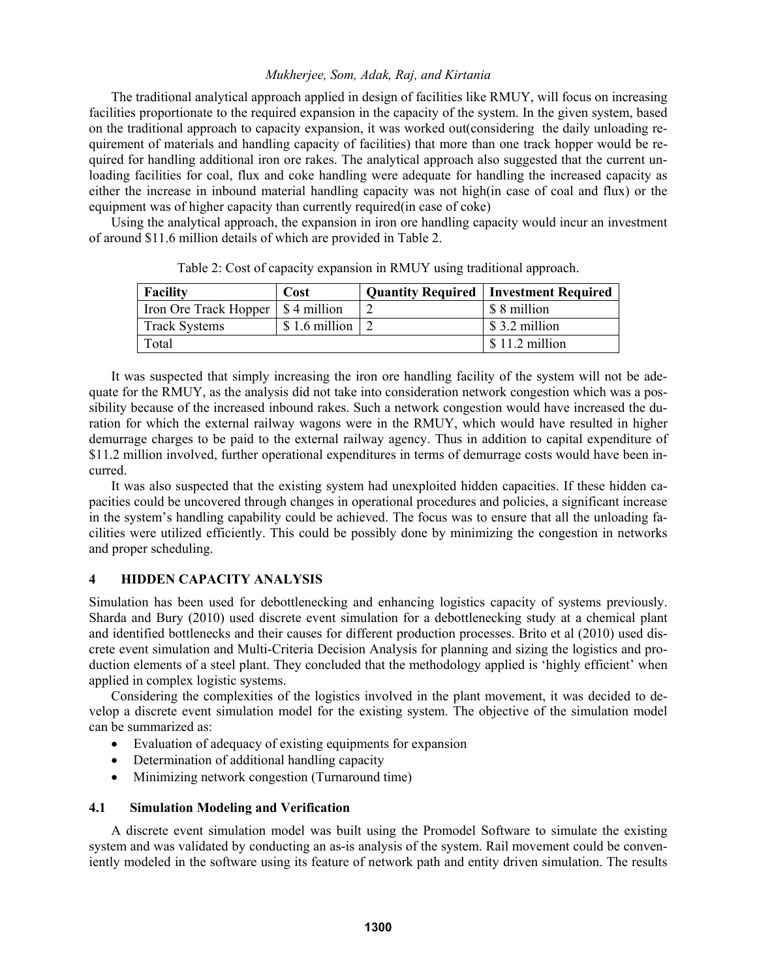The traditional analytical approach applied in design of facilities like RMUY, will focus on increasing facilities proportionate to the required expansion in the capacity of the system. In the given system, based on the traditional approach to capacity expansion, it was worked out(considering the daily unloading requirement of materials and handling capacity of facilities) that more than one track hopper would be required for handling additional iron ore rakes. The analytical approach also suggested that the current unloading facilities for coal, flux and coke handling were adequate for handling the increased capacity as either the increase in inbound material handling capacity was not high(in case of coal and flux) or the equipment was of higher capacity than currently required(in case of coke)

Using the analytical approach, the expansion in iron ore handling capacity would incur an investment of around \$11.6 million details of which are provided in Table 2.

| <b>Facility</b>                     | Cost          | <b>Quantity Required   Investment Required</b> |  |
|-------------------------------------|---------------|------------------------------------------------|--|
| Iron Ore Track Hopper   \$4 million |               | \$ 8 million                                   |  |
| <b>Track Systems</b>                | \$1.6 million | \$3.2 million                                  |  |
| Total                               |               | $$11.2$ million                                |  |

Table 2: Cost of capacity expansion in RMUY using traditional approach.

It was suspected that simply increasing the iron ore handling facility of the system will not be adequate for the RMUY, as the analysis did not take into consideration network congestion which was a possibility because of the increased inbound rakes. Such a network congestion would have increased the duration for which the external railway wagons were in the RMUY, which would have resulted in higher demurrage charges to be paid to the external railway agency. Thus in addition to capital expenditure of \$11.2 million involved, further operational expenditures in terms of demurrage costs would have been incurred.

It was also suspected that the existing system had unexploited hidden capacities. If these hidden capacities could be uncovered through changes in operational procedures and policies, a significant increase in the system's handling capability could be achieved. The focus was to ensure that all the unloading facilities were utilized efficiently. This could be possibly done by minimizing the congestion in networks and proper scheduling.

# **4 HIDDEN CAPACITY ANALYSIS**

Simulation has been used for debottlenecking and enhancing logistics capacity of systems previously. Sharda and Bury (2010) used discrete event simulation for a debottlenecking study at a chemical plant and identified bottlenecks and their causes for different production processes. Brito et al (2010) used discrete event simulation and Multi-Criteria Decision Analysis for planning and sizing the logistics and production elements of a steel plant. They concluded that the methodology applied is 'highly efficient' when applied in complex logistic systems.

Considering the complexities of the logistics involved in the plant movement, it was decided to develop a discrete event simulation model for the existing system. The objective of the simulation model can be summarized as:

- Evaluation of adequacy of existing equipments for expansion
- Determination of additional handling capacity
- Minimizing network congestion (Turnaround time)

# **4.1 Simulation Modeling and Verification**

A discrete event simulation model was built using the Promodel Software to simulate the existing system and was validated by conducting an as-is analysis of the system. Rail movement could be conveniently modeled in the software using its feature of network path and entity driven simulation. The results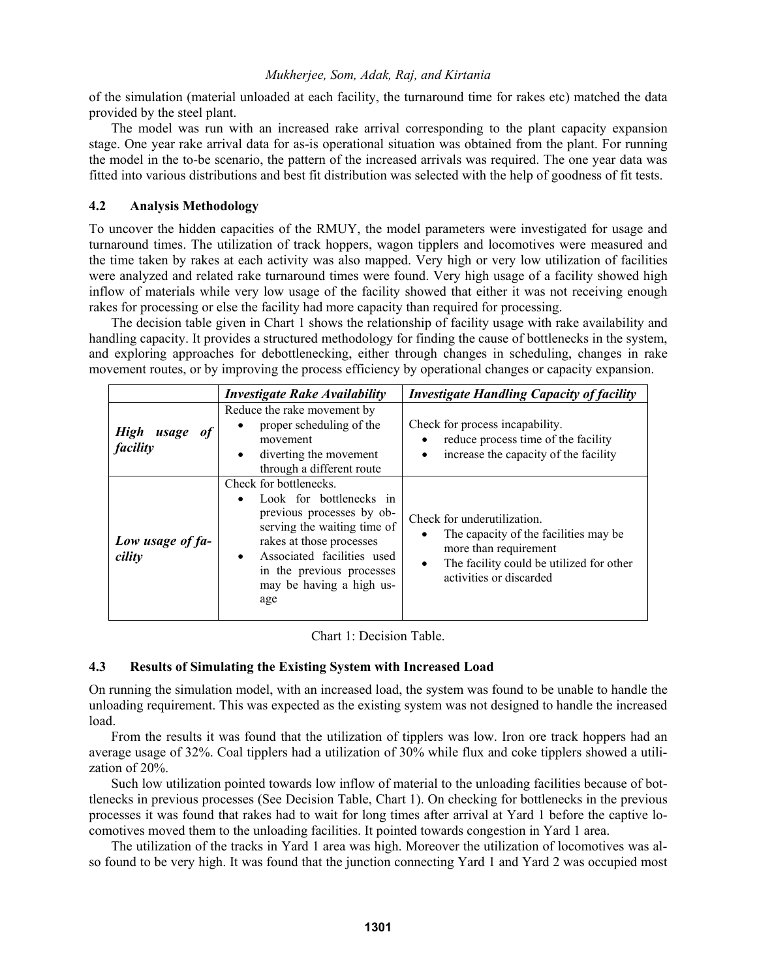of the simulation (material unloaded at each facility, the turnaround time for rakes etc) matched the data provided by the steel plant.

The model was run with an increased rake arrival corresponding to the plant capacity expansion stage. One year rake arrival data for as-is operational situation was obtained from the plant. For running the model in the to-be scenario, the pattern of the increased arrivals was required. The one year data was fitted into various distributions and best fit distribution was selected with the help of goodness of fit tests.

# **4.2 Analysis Methodology**

To uncover the hidden capacities of the RMUY, the model parameters were investigated for usage and turnaround times. The utilization of track hoppers, wagon tipplers and locomotives were measured and the time taken by rakes at each activity was also mapped. Very high or very low utilization of facilities were analyzed and related rake turnaround times were found. Very high usage of a facility showed high inflow of materials while very low usage of the facility showed that either it was not receiving enough rakes for processing or else the facility had more capacity than required for processing.

The decision table given in Chart 1 shows the relationship of facility usage with rake availability and handling capacity. It provides a structured methodology for finding the cause of bottlenecks in the system, and exploring approaches for debottlenecking, either through changes in scheduling, changes in rake movement routes, or by improving the process efficiency by operational changes or capacity expansion.

|                                        | <i><b>Investigate Rake Availability</b></i>                                                                                                                                                                                                          | <b>Investigate Handling Capacity of facility</b>                                                                                                                                  |
|----------------------------------------|------------------------------------------------------------------------------------------------------------------------------------------------------------------------------------------------------------------------------------------------------|-----------------------------------------------------------------------------------------------------------------------------------------------------------------------------------|
| <b>High</b><br>usage<br>of<br>facility | Reduce the rake movement by<br>proper scheduling of the<br>$\bullet$<br>movement<br>diverting the movement<br>$\bullet$<br>through a different route                                                                                                 | Check for process incapability.<br>reduce process time of the facility<br>$\bullet$<br>increase the capacity of the facility                                                      |
| Low usage of fa-<br>cility             | Check for bottlenecks.<br>Look for bottlenecks in<br>previous processes by ob-<br>serving the waiting time of<br>rakes at those processes<br>Associated facilities used<br>$\bullet$<br>in the previous processes<br>may be having a high us-<br>age | Check for underutilization.<br>The capacity of the facilities may be<br>$\bullet$<br>more than requirement<br>The facility could be utilized for other<br>activities or discarded |

Chart 1: Decision Table.

# **4.3 Results of Simulating the Existing System with Increased Load**

On running the simulation model, with an increased load, the system was found to be unable to handle the unloading requirement. This was expected as the existing system was not designed to handle the increased load.

From the results it was found that the utilization of tipplers was low. Iron ore track hoppers had an average usage of 32%. Coal tipplers had a utilization of 30% while flux and coke tipplers showed a utilization of 20%.

Such low utilization pointed towards low inflow of material to the unloading facilities because of bottlenecks in previous processes (See Decision Table, Chart 1). On checking for bottlenecks in the previous processes it was found that rakes had to wait for long times after arrival at Yard 1 before the captive locomotives moved them to the unloading facilities. It pointed towards congestion in Yard 1 area.

The utilization of the tracks in Yard 1 area was high. Moreover the utilization of locomotives was also found to be very high. It was found that the junction connecting Yard 1 and Yard 2 was occupied most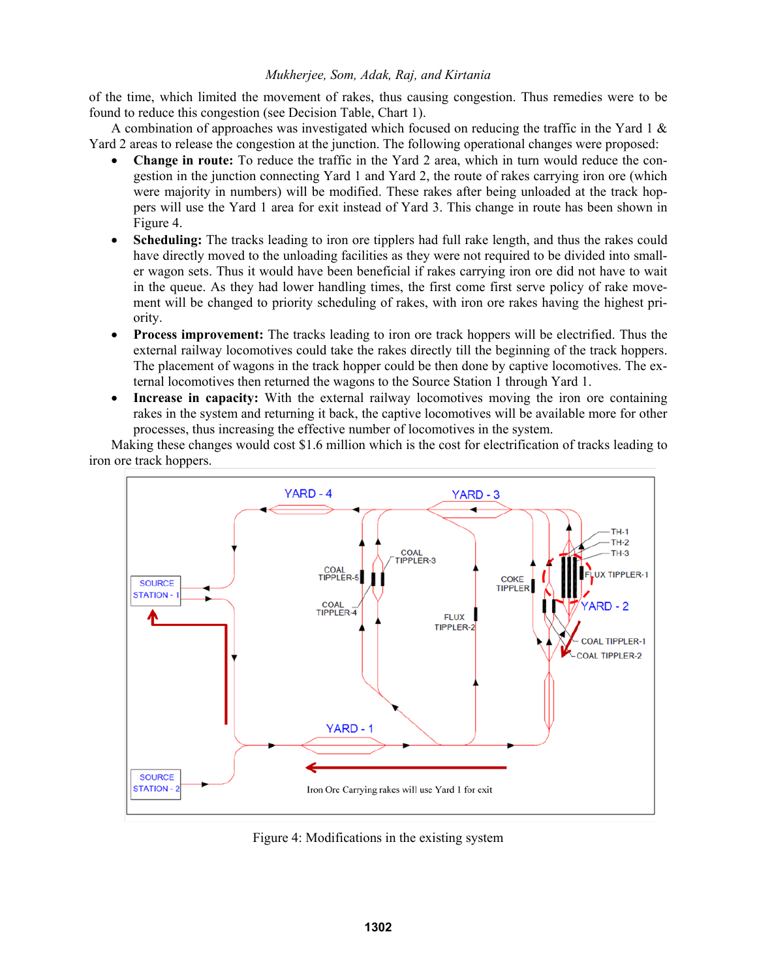of the time, which limited the movement of rakes, thus causing congestion. Thus remedies were to be found to reduce this congestion (see Decision Table, Chart 1).

A combination of approaches was investigated which focused on reducing the traffic in the Yard 1  $\&$ Yard 2 areas to release the congestion at the junction. The following operational changes were proposed:

- **Change in route:** To reduce the traffic in the Yard 2 area, which in turn would reduce the congestion in the junction connecting Yard 1 and Yard 2, the route of rakes carrying iron ore (which were majority in numbers) will be modified. These rakes after being unloaded at the track hoppers will use the Yard 1 area for exit instead of Yard 3. This change in route has been shown in Figure 4.
- **Scheduling:** The tracks leading to iron ore tipplers had full rake length, and thus the rakes could have directly moved to the unloading facilities as they were not required to be divided into smaller wagon sets. Thus it would have been beneficial if rakes carrying iron ore did not have to wait in the queue. As they had lower handling times, the first come first serve policy of rake movement will be changed to priority scheduling of rakes, with iron ore rakes having the highest priority.
- **Process improvement:** The tracks leading to iron ore track hoppers will be electrified. Thus the external railway locomotives could take the rakes directly till the beginning of the track hoppers. The placement of wagons in the track hopper could be then done by captive locomotives. The external locomotives then returned the wagons to the Source Station 1 through Yard 1.
- **Increase in capacity:** With the external railway locomotives moving the iron ore containing rakes in the system and returning it back, the captive locomotives will be available more for other processes, thus increasing the effective number of locomotives in the system.

Making these changes would cost \$1.6 million which is the cost for electrification of tracks leading to iron ore track hoppers.



Figure 4: Modifications in the existing system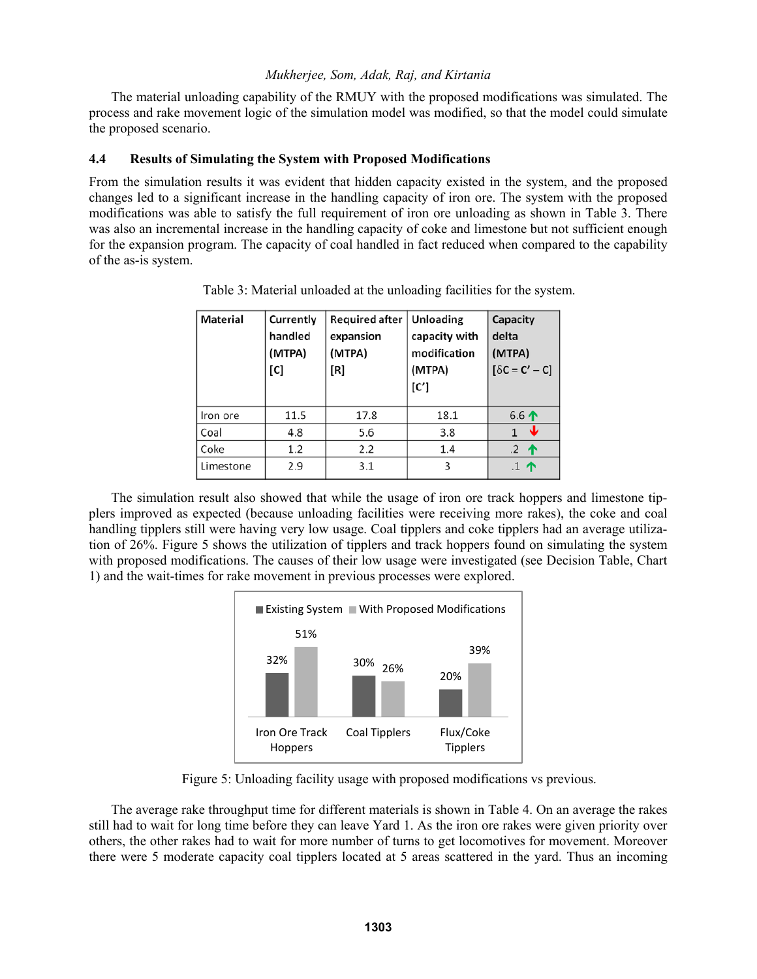The material unloading capability of the RMUY with the proposed modifications was simulated. The process and rake movement logic of the simulation model was modified, so that the model could simulate the proposed scenario.

## **4.4 Results of Simulating the System with Proposed Modifications**

From the simulation results it was evident that hidden capacity existed in the system, and the proposed changes led to a significant increase in the handling capacity of iron ore. The system with the proposed modifications was able to satisfy the full requirement of iron ore unloading as shown in Table 3. There was also an incremental increase in the handling capacity of coke and limestone but not sufficient enough for the expansion program. The capacity of coal handled in fact reduced when compared to the capability of the as-is system.

| Material  | Currently<br>handled<br>(MTPA)<br>[C] | <b>Required after</b><br>expansion<br>(MTPA)<br>[R] | Unloading<br>capacity with<br>modification<br>(MTPA)<br>[C'] | Capacity<br>delta<br>(MTPA)<br>$[\delta C = C' - C]$ |
|-----------|---------------------------------------|-----------------------------------------------------|--------------------------------------------------------------|------------------------------------------------------|
| Iron ore  | 11.5                                  | 17.8                                                | 18.1                                                         | 6.6 $\uparrow$                                       |
| Coal      | 4.8                                   | 5.6                                                 | 3.8                                                          | w                                                    |
| Coke      | 1.2                                   | 2.2                                                 | 1.4                                                          | $.2$ 个                                               |
| Limestone | 2.9                                   | 3.1                                                 | 3                                                            | $.1$ 个                                               |

Table 3: Material unloaded at the unloading facilities for the system.

The simulation result also showed that while the usage of iron ore track hoppers and limestone tipplers improved as expected (because unloading facilities were receiving more rakes), the coke and coal handling tipplers still were having very low usage. Coal tipplers and coke tipplers had an average utilization of 26%. Figure 5 shows the utilization of tipplers and track hoppers found on simulating the system with proposed modifications. The causes of their low usage were investigated (see Decision Table, Chart 1) and the wait-times for rake movement in previous processes were explored.



Figure 5: Unloading facility usage with proposed modifications vs previous.

The average rake throughput time for different materials is shown in Table 4. On an average the rakes still had to wait for long time before they can leave Yard 1. As the iron ore rakes were given priority over others, the other rakes had to wait for more number of turns to get locomotives for movement. Moreover there were 5 moderate capacity coal tipplers located at 5 areas scattered in the yard. Thus an incoming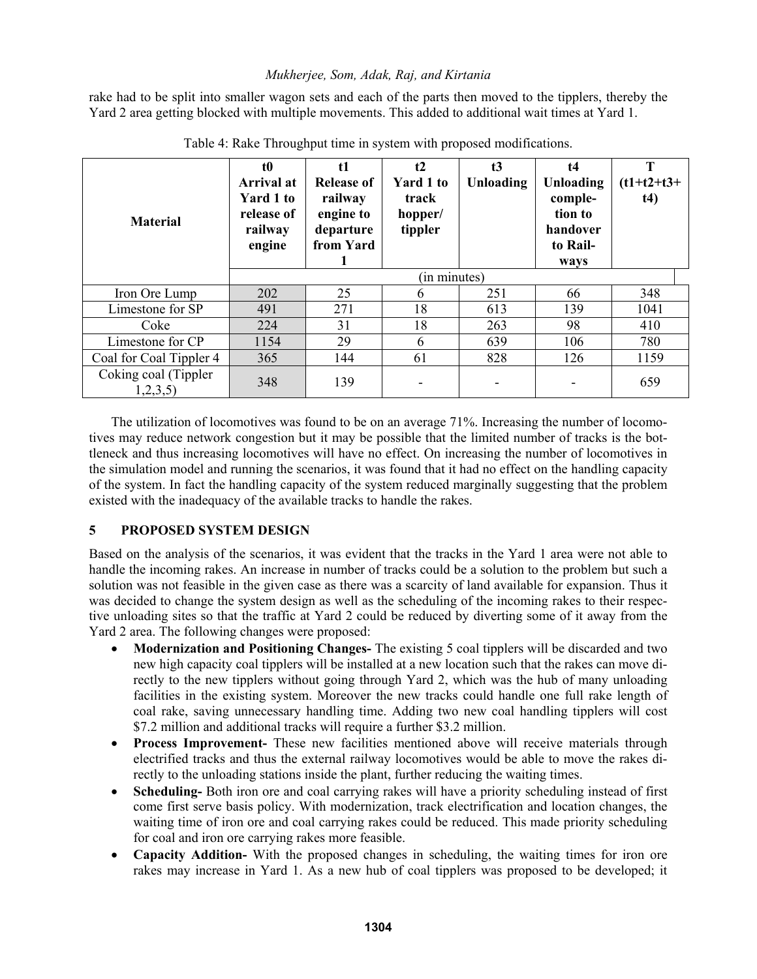rake had to be split into smaller wagon sets and each of the parts then moved to the tipplers, thereby the Yard 2 area getting blocked with multiple movements. This added to additional wait times at Yard 1.

| <b>Material</b>                 | t0<br>Arrival at<br>Yard 1 to<br>release of<br>railway<br>engine | t1<br><b>Release of</b><br>railway<br>engine to<br>departure<br>from Yard | t2<br><b>Yard 1 to</b><br>track<br>hopper/<br>tippler | t3<br>Unloading | t4<br>Unloading<br>comple-<br>tion to<br>handover<br>to Rail-<br>ways | T<br>$(t1+t2+t3+$<br>t4) |
|---------------------------------|------------------------------------------------------------------|---------------------------------------------------------------------------|-------------------------------------------------------|-----------------|-----------------------------------------------------------------------|--------------------------|
|                                 |                                                                  |                                                                           | (in minutes)                                          |                 |                                                                       |                          |
| Iron Ore Lump                   | 202                                                              | 25                                                                        | 6                                                     | 251             | 66                                                                    | 348                      |
| Limestone for SP                | 491                                                              | 271                                                                       | 18                                                    | 613             | 139                                                                   | 1041                     |
| Coke                            | 224                                                              | 31                                                                        | 18                                                    | 263             | 98                                                                    | 410                      |
| Limestone for CP                | 1154                                                             | 29                                                                        | 6                                                     | 639             | 106                                                                   | 780                      |
| Coal for Coal Tippler 4         | 365                                                              | 144                                                                       | 61                                                    | 828             | 126                                                                   | 1159                     |
| Coking coal (Tippler<br>1,2,3,5 | 348                                                              | 139                                                                       |                                                       |                 |                                                                       | 659                      |

Table 4: Rake Throughput time in system with proposed modifications.

The utilization of locomotives was found to be on an average 71%. Increasing the number of locomotives may reduce network congestion but it may be possible that the limited number of tracks is the bottleneck and thus increasing locomotives will have no effect. On increasing the number of locomotives in the simulation model and running the scenarios, it was found that it had no effect on the handling capacity of the system. In fact the handling capacity of the system reduced marginally suggesting that the problem existed with the inadequacy of the available tracks to handle the rakes.

# **5 PROPOSED SYSTEM DESIGN**

Based on the analysis of the scenarios, it was evident that the tracks in the Yard 1 area were not able to handle the incoming rakes. An increase in number of tracks could be a solution to the problem but such a solution was not feasible in the given case as there was a scarcity of land available for expansion. Thus it was decided to change the system design as well as the scheduling of the incoming rakes to their respective unloading sites so that the traffic at Yard 2 could be reduced by diverting some of it away from the Yard 2 area. The following changes were proposed:

- **Modernization and Positioning Changes-** The existing 5 coal tipplers will be discarded and two new high capacity coal tipplers will be installed at a new location such that the rakes can move directly to the new tipplers without going through Yard 2, which was the hub of many unloading facilities in the existing system. Moreover the new tracks could handle one full rake length of coal rake, saving unnecessary handling time. Adding two new coal handling tipplers will cost \$7.2 million and additional tracks will require a further \$3.2 million.
- **Process Improvement-** These new facilities mentioned above will receive materials through electrified tracks and thus the external railway locomotives would be able to move the rakes directly to the unloading stations inside the plant, further reducing the waiting times.
- **Scheduling-** Both iron ore and coal carrying rakes will have a priority scheduling instead of first come first serve basis policy. With modernization, track electrification and location changes, the waiting time of iron ore and coal carrying rakes could be reduced. This made priority scheduling for coal and iron ore carrying rakes more feasible.
- **Capacity Addition-** With the proposed changes in scheduling, the waiting times for iron ore rakes may increase in Yard 1. As a new hub of coal tipplers was proposed to be developed; it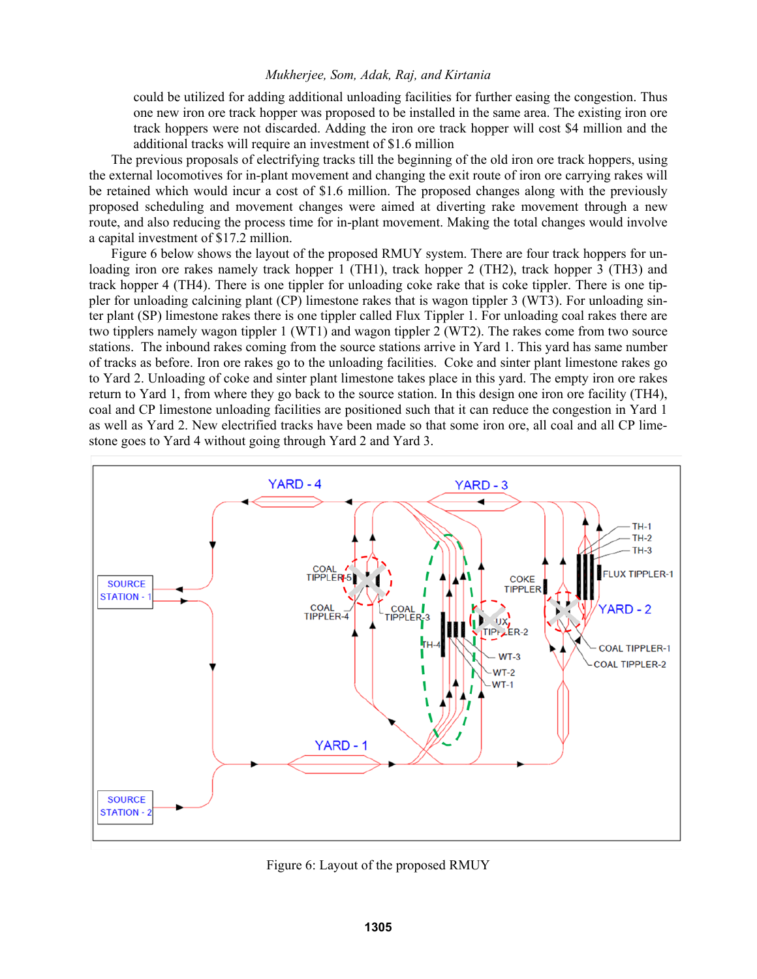could be utilized for adding additional unloading facilities for further easing the congestion. Thus one new iron ore track hopper was proposed to be installed in the same area. The existing iron ore track hoppers were not discarded. Adding the iron ore track hopper will cost \$4 million and the additional tracks will require an investment of \$1.6 million

The previous proposals of electrifying tracks till the beginning of the old iron ore track hoppers, using the external locomotives for in-plant movement and changing the exit route of iron ore carrying rakes will be retained which would incur a cost of \$1.6 million. The proposed changes along with the previously proposed scheduling and movement changes were aimed at diverting rake movement through a new route, and also reducing the process time for in-plant movement. Making the total changes would involve a capital investment of \$17.2 million.

Figure 6 below shows the layout of the proposed RMUY system. There are four track hoppers for unloading iron ore rakes namely track hopper 1 (TH1), track hopper 2 (TH2), track hopper 3 (TH3) and track hopper 4 (TH4). There is one tippler for unloading coke rake that is coke tippler. There is one tippler for unloading calcining plant (CP) limestone rakes that is wagon tippler 3 (WT3). For unloading sinter plant (SP) limestone rakes there is one tippler called Flux Tippler 1. For unloading coal rakes there are two tipplers namely wagon tippler 1 (WT1) and wagon tippler 2 (WT2). The rakes come from two source stations. The inbound rakes coming from the source stations arrive in Yard 1. This yard has same number of tracks as before. Iron ore rakes go to the unloading facilities. Coke and sinter plant limestone rakes go to Yard 2. Unloading of coke and sinter plant limestone takes place in this yard. The empty iron ore rakes return to Yard 1, from where they go back to the source station. In this design one iron ore facility (TH4), coal and CP limestone unloading facilities are positioned such that it can reduce the congestion in Yard 1 as well as Yard 2. New electrified tracks have been made so that some iron ore, all coal and all CP limestone goes to Yard 4 without going through Yard 2 and Yard 3.



Figure 6: Layout of the proposed RMUY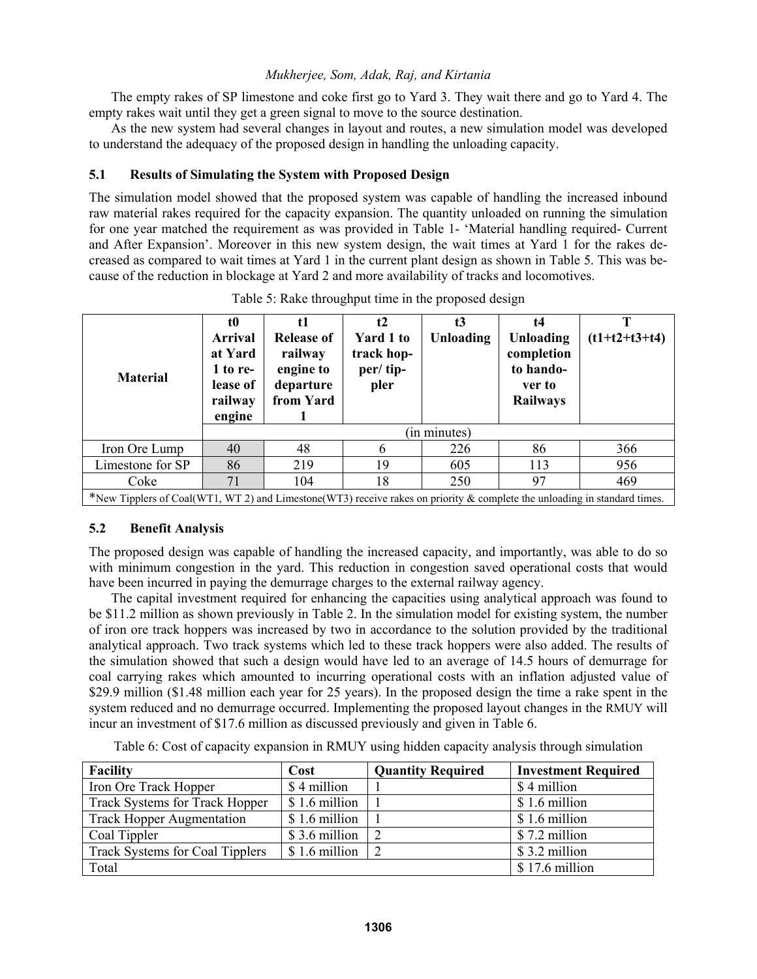The empty rakes of SP limestone and coke first go to Yard 3. They wait there and go to Yard 4. The empty rakes wait until they get a green signal to move to the source destination.

As the new system had several changes in layout and routes, a new simulation model was developed to understand the adequacy of the proposed design in handling the unloading capacity.

# **5.1 Results of Simulating the System with Proposed Design**

The simulation model showed that the proposed system was capable of handling the increased inbound raw material rakes required for the capacity expansion. The quantity unloaded on running the simulation for one year matched the requirement as was provided in Table 1- 'Material handling required- Current and After Expansion'. Moreover in this new system design, the wait times at Yard 1 for the rakes decreased as compared to wait times at Yard 1 in the current plant design as shown in Table 5. This was because of the reduction in blockage at Yard 2 and more availability of tracks and locomotives.

| <b>Material</b>                                                                                                            | t0<br><b>Arrival</b><br>at Yard<br>1 to re-<br>lease of<br>railway<br>engine | $\mathbf{t}$<br><b>Release of</b><br>railway<br>engine to<br>departure<br>from Yard | t2<br>Yard 1 to<br>track hop-<br>per/tip-<br>pler | t3<br><b>Unloading</b> | t4<br><b>Unloading</b><br>completion<br>to hando-<br>ver to<br><b>Railways</b> | $(t1+t2+t3+t4)$ |  |  |
|----------------------------------------------------------------------------------------------------------------------------|------------------------------------------------------------------------------|-------------------------------------------------------------------------------------|---------------------------------------------------|------------------------|--------------------------------------------------------------------------------|-----------------|--|--|
|                                                                                                                            | (in minutes)                                                                 |                                                                                     |                                                   |                        |                                                                                |                 |  |  |
| Iron Ore Lump                                                                                                              | 40                                                                           | 48                                                                                  | 6                                                 | 226                    | 86                                                                             | 366             |  |  |
| Limestone for SP                                                                                                           | 86                                                                           | 219                                                                                 | 19                                                | 605                    | 113                                                                            | 956             |  |  |
| Coke                                                                                                                       | 71                                                                           | 104                                                                                 | 18                                                | 250                    | 97                                                                             | 469             |  |  |
| *New Tipplers of Coal(WT1, WT 2) and Limestone (WT3) receive rakes on priority & complete the unloading in standard times. |                                                                              |                                                                                     |                                                   |                        |                                                                                |                 |  |  |

|  |  | Table 5: Rake throughput time in the proposed design |
|--|--|------------------------------------------------------|
|  |  |                                                      |

# **5.2 Benefit Analysis**

The proposed design was capable of handling the increased capacity, and importantly, was able to do so with minimum congestion in the yard. This reduction in congestion saved operational costs that would have been incurred in paying the demurrage charges to the external railway agency.

The capital investment required for enhancing the capacities using analytical approach was found to be \$11.2 million as shown previously in Table 2. In the simulation model for existing system, the number of iron ore track hoppers was increased by two in accordance to the solution provided by the traditional analytical approach. Two track systems which led to these track hoppers were also added. The results of the simulation showed that such a design would have led to an average of 14.5 hours of demurrage for coal carrying rakes which amounted to incurring operational costs with an inflation adjusted value of \$29.9 million (\$1.48 million each year for 25 years). In the proposed design the time a rake spent in the system reduced and no demurrage occurred. Implementing the proposed layout changes in the RMUY will incur an investment of \$17.6 million as discussed previously and given in Table 6.

Table 6: Cost of capacity expansion in RMUY using hidden capacity analysis through simulation

| <b>Facility</b>                        | Cost          | <b>Quantity Required</b> | <b>Investment Required</b> |
|----------------------------------------|---------------|--------------------------|----------------------------|
| Iron Ore Track Hopper                  | \$4 million   |                          | \$4 million                |
| <b>Track Systems for Track Hopper</b>  | \$1.6 million |                          | \$1.6 million              |
| <b>Track Hopper Augmentation</b>       | \$1.6 million |                          | \$1.6 million              |
| Coal Tippler                           | \$3.6 million | $\overline{2}$           | \$7.2 million              |
| <b>Track Systems for Coal Tipplers</b> | \$1.6 million | $\overline{2}$           | \$3.2 million              |
| Total                                  |               |                          | \$17.6 million             |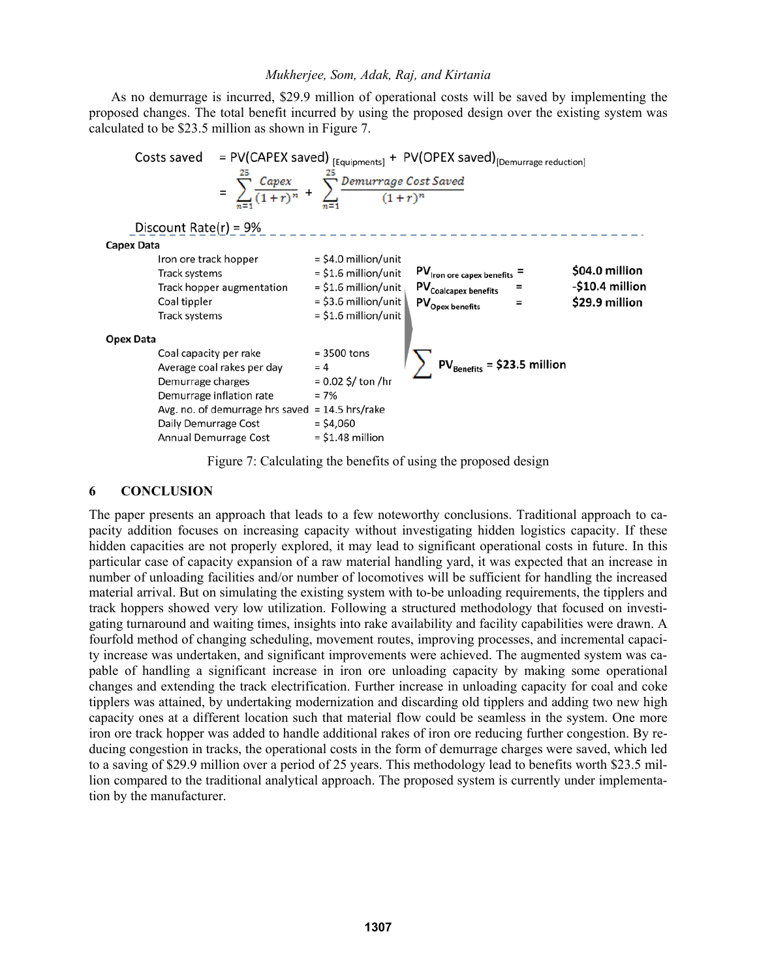As no demurrage is incurred, \$29.9 million of operational costs will be saved by implementing the proposed changes. The total benefit incurred by using the proposed design over the existing system was calculated to be \$23.5 million as shown in Figure 7.



Figure 7: Calculating the benefits of using the proposed design

# **6 CONCLUSION**

The paper presents an approach that leads to a few noteworthy conclusions. Traditional approach to capacity addition focuses on increasing capacity without investigating hidden logistics capacity. If these hidden capacities are not properly explored, it may lead to significant operational costs in future. In this particular case of capacity expansion of a raw material handling yard, it was expected that an increase in number of unloading facilities and/or number of locomotives will be sufficient for handling the increased material arrival. But on simulating the existing system with to-be unloading requirements, the tipplers and track hoppers showed very low utilization. Following a structured methodology that focused on investigating turnaround and waiting times, insights into rake availability and facility capabilities were drawn. A fourfold method of changing scheduling, movement routes, improving processes, and incremental capacity increase was undertaken, and significant improvements were achieved. The augmented system was capable of handling a significant increase in iron ore unloading capacity by making some operational changes and extending the track electrification. Further increase in unloading capacity for coal and coke tipplers was attained, by undertaking modernization and discarding old tipplers and adding two new high capacity ones at a different location such that material flow could be seamless in the system. One more iron ore track hopper was added to handle additional rakes of iron ore reducing further congestion. By reducing congestion in tracks, the operational costs in the form of demurrage charges were saved, which led to a saving of \$29.9 million over a period of 25 years. This methodology lead to benefits worth \$23.5 million compared to the traditional analytical approach. The proposed system is currently under implementation by the manufacturer.